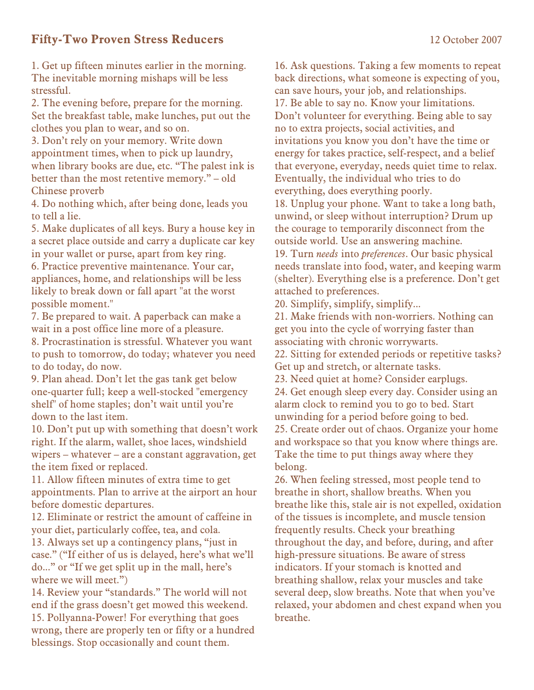## **Fifty-Two Proven Stress Reducers** 12 October 2007

1. Get up fifteen minutes earlier in the morning. The inevitable morning mishaps will be less stressful.

2. The evening before, prepare for the morning. Set the breakfast table, make lunches, put out the clothes you plan to wear, and so on.

3. Don't rely on your memory. Write down appointment times, when to pick up laundry, when library books are due, etc. "The palest ink is better than the most retentive memory." – old Chinese proverb

4. Do nothing which, after being done, leads you to tell a lie.

5. Make duplicates of all keys. Bury a house key in a secret place outside and carry a duplicate car key in your wallet or purse, apart from key ring.

6. Practice preventive maintenance. Your car, appliances, home, and relationships will be less likely to break down or fall apart "at the worst possible moment."

7. Be prepared to wait. A paperback can make a wait in a post office line more of a pleasure.

8. Procrastination is stressful. Whatever you want to push to tomorrow, do today; whatever you need to do today, do now.

9. Plan ahead. Don't let the gas tank get below one-quarter full; keep a well-stocked "emergency shelf" of home staples; don't wait until you're down to the last item.

10. Don't put up with something that doesn't work right. If the alarm, wallet, shoe laces, windshield wipers – whatever – are a constant aggravation, get the item fixed or replaced.

11. Allow fifteen minutes of extra time to get appointments. Plan to arrive at the airport an hour before domestic departures.

12. Eliminate or restrict the amount of caffeine in your diet, particularly coffee, tea, and cola.

13. Always set up a contingency plans, "just in case." ("If either of us is delayed, here's what we'll do..." or "If we get split up in the mall, here's where we will meet.")

14. Review your "standards." The world will not end if the grass doesn't get mowed this weekend. 15. Pollyanna-Power! For everything that goes wrong, there are properly ten or fifty or a hundred blessings. Stop occasionally and count them.

16. Ask questions. Taking a few moments to repeat back directions, what someone is expecting of you, can save hours, your job, and relationships. 17. Be able to say no. Know your limitations. Don't volunteer for everything. Being able to say no to extra projects, social activities, and invitations you know you don't have the time or energy for takes practice, self-respect, and a belief that everyone, everyday, needs quiet time to relax. Eventually, the individual who tries to do everything, does everything poorly.

18. Unplug your phone. Want to take a long bath, unwind, or sleep without interruption? Drum up the courage to temporarily disconnect from the outside world. Use an answering machine.

19. Turn *needs* into *preferences*. Our basic physical needs translate into food, water, and keeping warm (shelter). Everything else is a preference. Don't get attached to preferences.

20. Simplify, simplify, simplify...

21. Make friends with non-worriers. Nothing can get you into the cycle of worrying faster than associating with chronic worrywarts.

22. Sitting for extended periods or repetitive tasks? Get up and stretch, or alternate tasks.

23. Need quiet at home? Consider earplugs. 24. Get enough sleep every day. Consider using an alarm clock to remind you to go to bed. Start unwinding for a period before going to bed. 25. Create order out of chaos. Organize your home and workspace so that you know where things are. Take the time to put things away where they belong.

26. When feeling stressed, most people tend to breathe in short, shallow breaths. When you breathe like this, stale air is not expelled, oxidation of the tissues is incomplete, and muscle tension frequently results. Check your breathing throughout the day, and before, during, and after high-pressure situations. Be aware of stress indicators. If your stomach is knotted and breathing shallow, relax your muscles and take several deep, slow breaths. Note that when you've relaxed, your abdomen and chest expand when you breathe.